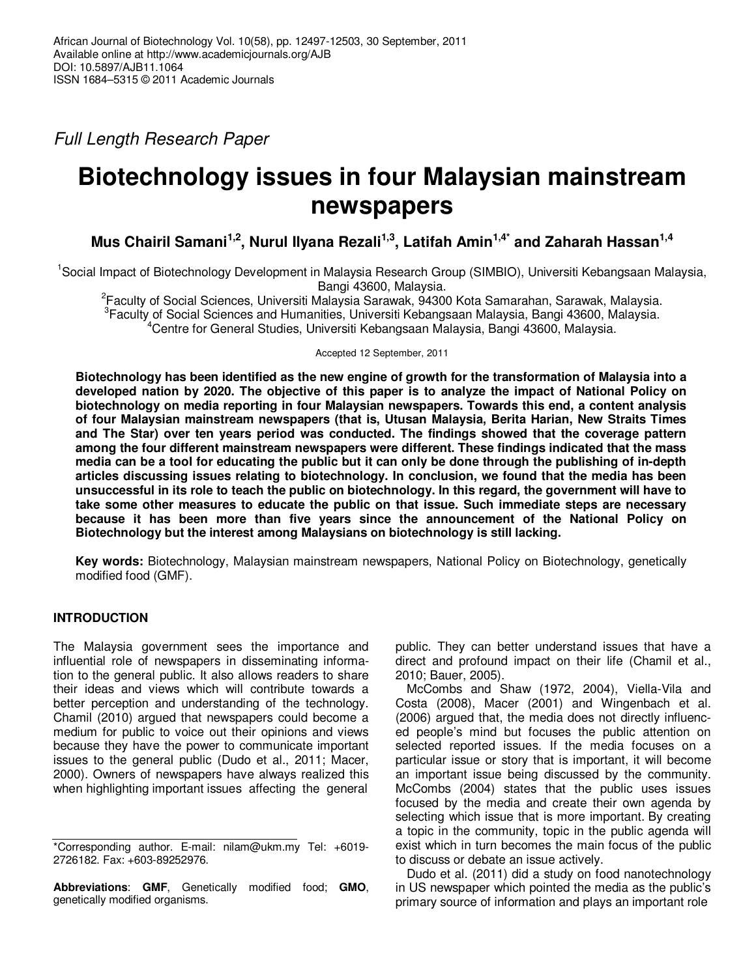Full Length Research Paper

# **Biotechnology issues in four Malaysian mainstream newspapers**

**Mus Chairil Samani1,2, Nurul Ilyana Rezali1,3, Latifah Amin1,4\* and Zaharah Hassan1,4**

<sup>1</sup>Social Impact of Biotechnology Development in Malaysia Research Group (SIMBIO), Universiti Kebangsaan Malaysia, Bangi 43600, Malaysia.

2 Faculty of Social Sciences, Universiti Malaysia Sarawak, 94300 Kota Samarahan, Sarawak, Malaysia. <sup>3</sup> Faculty of Social Sciences and Humanities, Universiti Kebangsaan Malaysia, Bangi 43600, Malaysia. <sup>4</sup>Centre for General Studies, Universiti Kebangsaan Malaysia, Bangi 43600, Malaysia.

Accepted 12 September, 2011

**Biotechnology has been identified as the new engine of growth for the transformation of Malaysia into a developed nation by 2020. The objective of this paper is to analyze the impact of National Policy on biotechnology on media reporting in four Malaysian newspapers. Towards this end, a content analysis of four Malaysian mainstream newspapers (that is, Utusan Malaysia, Berita Harian, New Straits Times and The Star) over ten years period was conducted. The findings showed that the coverage pattern among the four different mainstream newspapers were different. These findings indicated that the mass media can be a tool for educating the public but it can only be done through the publishing of in-depth articles discussing issues relating to biotechnology. In conclusion, we found that the media has been unsuccessful in its role to teach the public on biotechnology. In this regard, the government will have to take some other measures to educate the public on that issue. Such immediate steps are necessary because it has been more than five years since the announcement of the National Policy on Biotechnology but the interest among Malaysians on biotechnology is still lacking.** 

**Key words:** Biotechnology, Malaysian mainstream newspapers, National Policy on Biotechnology, genetically modified food (GMF).

## **INTRODUCTION**

The Malaysia government sees the importance and influential role of newspapers in disseminating information to the general public. It also allows readers to share their ideas and views which will contribute towards a better perception and understanding of the technology. Chamil (2010) argued that newspapers could become a medium for public to voice out their opinions and views because they have the power to communicate important issues to the general public (Dudo et al., 2011; Macer, 2000). Owners of newspapers have always realized this when highlighting important issues affecting the general

**Abbreviations**: **GMF**, Genetically modified food; **GMO**, genetically modified organisms.

public. They can better understand issues that have a direct and profound impact on their life (Chamil et al., 2010; Bauer, 2005).

McCombs and Shaw (1972, 2004), Viella-Vila and Costa (2008), Macer (2001) and Wingenbach et al. (2006) argued that, the media does not directly influenced people's mind but focuses the public attention on selected reported issues. If the media focuses on a particular issue or story that is important, it will become an important issue being discussed by the community. McCombs (2004) states that the public uses issues focused by the media and create their own agenda by selecting which issue that is more important. By creating a topic in the community, topic in the public agenda will exist which in turn becomes the main focus of the public to discuss or debate an issue actively.

Dudo et al. (2011) did a study on food nanotechnology in US newspaper which pointed the media as the public's primary source of information and plays an important role

<sup>\*</sup>Corresponding author. E-mail: nilam@ukm.my Tel: +6019- 2726182. Fax: +603-89252976.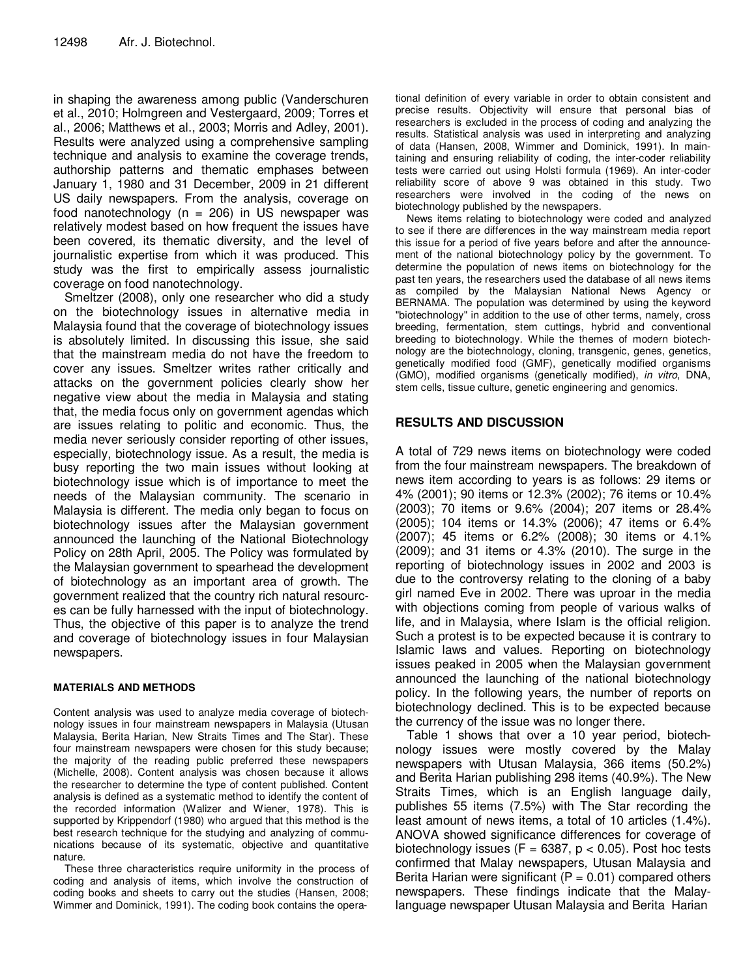in shaping the awareness among public (Vanderschuren et al., 2010; Holmgreen and Vestergaard, 2009; Torres et al., 2006; Matthews et al., 2003; Morris and Adley, 2001). Results were analyzed using a comprehensive sampling technique and analysis to examine the coverage trends, authorship patterns and thematic emphases between January 1, 1980 and 31 December, 2009 in 21 different US daily newspapers. From the analysis, coverage on food nanotechnology ( $n = 206$ ) in US newspaper was relatively modest based on how frequent the issues have been covered, its thematic diversity, and the level of journalistic expertise from which it was produced. This study was the first to empirically assess journalistic coverage on food nanotechnology.

Smeltzer (2008), only one researcher who did a study on the biotechnology issues in alternative media in Malaysia found that the coverage of biotechnology issues is absolutely limited. In discussing this issue, she said that the mainstream media do not have the freedom to cover any issues. Smeltzer writes rather critically and attacks on the government policies clearly show her negative view about the media in Malaysia and stating that, the media focus only on government agendas which are issues relating to politic and economic. Thus, the media never seriously consider reporting of other issues, especially, biotechnology issue. As a result, the media is busy reporting the two main issues without looking at biotechnology issue which is of importance to meet the needs of the Malaysian community. The scenario in Malaysia is different. The media only began to focus on biotechnology issues after the Malaysian government announced the launching of the National Biotechnology Policy on 28th April, 2005. The Policy was formulated by the Malaysian government to spearhead the development of biotechnology as an important area of growth. The government realized that the country rich natural resources can be fully harnessed with the input of biotechnology. Thus, the objective of this paper is to analyze the trend and coverage of biotechnology issues in four Malaysian newspapers.

### **MATERIALS AND METHODS**

Content analysis was used to analyze media coverage of biotechnology issues in four mainstream newspapers in Malaysia (Utusan Malaysia, Berita Harian, New Straits Times and The Star). These four mainstream newspapers were chosen for this study because; the majority of the reading public preferred these newspapers (Michelle, 2008). Content analysis was chosen because it allows the researcher to determine the type of content published. Content analysis is defined as a systematic method to identify the content of the recorded information (Walizer and Wiener, 1978). This is supported by Krippendorf (1980) who argued that this method is the best research technique for the studying and analyzing of communications because of its systematic, objective and quantitative nature.

These three characteristics require uniformity in the process of coding and analysis of items, which involve the construction of coding books and sheets to carry out the studies (Hansen, 2008; Wimmer and Dominick, 1991). The coding book contains the operational definition of every variable in order to obtain consistent and precise results. Objectivity will ensure that personal bias of researchers is excluded in the process of coding and analyzing the results. Statistical analysis was used in interpreting and analyzing of data (Hansen, 2008, Wimmer and Dominick, 1991). In maintaining and ensuring reliability of coding, the inter-coder reliability tests were carried out using Holsti formula (1969). An inter-coder reliability score of above 9 was obtained in this study. Two researchers were involved in the coding of the news on biotechnology published by the newspapers.

News items relating to biotechnology were coded and analyzed to see if there are differences in the way mainstream media report this issue for a period of five years before and after the announcement of the national biotechnology policy by the government. To determine the population of news items on biotechnology for the past ten years, the researchers used the database of all news items as compiled by the Malaysian National News Agency or BERNAMA. The population was determined by using the keyword "biotechnology" in addition to the use of other terms, namely, cross breeding, fermentation, stem cuttings, hybrid and conventional breeding to biotechnology. While the themes of modern biotechnology are the biotechnology, cloning, transgenic, genes, genetics, genetically modified food (GMF), genetically modified organisms (GMO), modified organisms (genetically modified), in vitro, DNA, stem cells, tissue culture, genetic engineering and genomics.

### **RESULTS AND DISCUSSION**

A total of 729 news items on biotechnology were coded from the four mainstream newspapers. The breakdown of news item according to years is as follows: 29 items or 4% (2001); 90 items or 12.3% (2002); 76 items or 10.4% (2003); 70 items or 9.6% (2004); 207 items or 28.4% (2005); 104 items or 14.3% (2006); 47 items or 6.4% (2007); 45 items or 6.2% (2008); 30 items or 4.1% (2009); and 31 items or 4.3% (2010). The surge in the reporting of biotechnology issues in 2002 and 2003 is due to the controversy relating to the cloning of a baby girl named Eve in 2002. There was uproar in the media with objections coming from people of various walks of life, and in Malaysia, where Islam is the official religion. Such a protest is to be expected because it is contrary to Islamic laws and values. Reporting on biotechnology issues peaked in 2005 when the Malaysian government announced the launching of the national biotechnology policy. In the following years, the number of reports on biotechnology declined. This is to be expected because the currency of the issue was no longer there.

Table 1 shows that over a 10 year period, biotechnology issues were mostly covered by the Malay newspapers with Utusan Malaysia, 366 items (50.2%) and Berita Harian publishing 298 items (40.9%). The New Straits Times, which is an English language daily, publishes 55 items (7.5%) with The Star recording the least amount of news items, a total of 10 articles (1.4%). ANOVA showed significance differences for coverage of biotechnology issues ( $F = 6387$ ,  $p < 0.05$ ). Post hoc tests confirmed that Malay newspapers, Utusan Malaysia and Berita Harian were significant  $(P = 0.01)$  compared others newspapers. These findings indicate that the Malaylanguage newspaper Utusan Malaysia and Berita Harian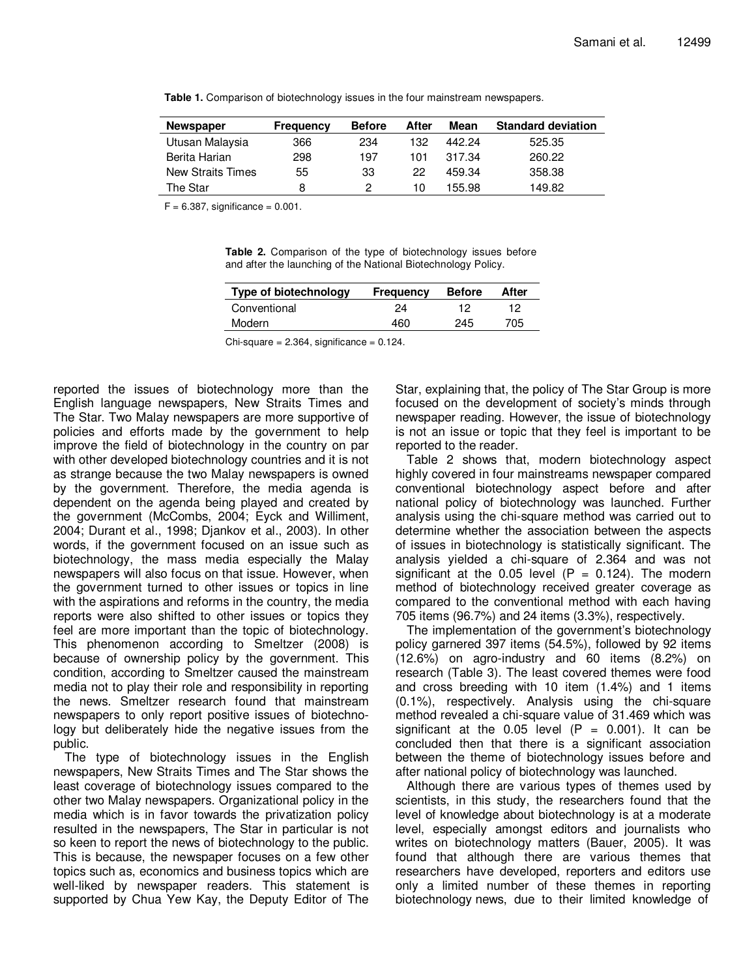| <b>Newspaper</b>         | <b>Frequency</b> | <b>Before</b> | After | Mean   | <b>Standard deviation</b> |
|--------------------------|------------------|---------------|-------|--------|---------------------------|
| Utusan Malaysia          | 366              | 234           | 132   | 442.24 | 525.35                    |
| Berita Harian            | 298              | 197           | 101   | 317.34 | 260.22                    |
| <b>New Straits Times</b> | 55               | 33            | 22    | 459.34 | 358.38                    |
| The Star                 | 8                | 2             | 10    | 155.98 | 149.82                    |

**Table 1.** Comparison of biotechnology issues in the four mainstream newspapers.

 $F = 6.387$ , significance = 0.001.

**Table 2.** Comparison of the type of biotechnology issues before and after the launching of the National Biotechnology Policy.

| Type of biotechnology | <b>Frequency</b> | <b>Before</b> | After |
|-----------------------|------------------|---------------|-------|
| Conventional          | 24               | 19            | 12    |
| Modern                | 460              | 245           | 705   |

 $Chi-square = 2.364$ , significance = 0.124.

reported the issues of biotechnology more than the English language newspapers, New Straits Times and The Star. Two Malay newspapers are more supportive of policies and efforts made by the government to help improve the field of biotechnology in the country on par with other developed biotechnology countries and it is not as strange because the two Malay newspapers is owned by the government. Therefore, the media agenda is dependent on the agenda being played and created by the government (McCombs, 2004; Eyck and Williment, 2004; Durant et al., 1998; Djankov et al., 2003). In other words, if the government focused on an issue such as biotechnology, the mass media especially the Malay newspapers will also focus on that issue. However, when the government turned to other issues or topics in line with the aspirations and reforms in the country, the media reports were also shifted to other issues or topics they feel are more important than the topic of biotechnology. This phenomenon according to Smeltzer (2008) is because of ownership policy by the government. This condition, according to Smeltzer caused the mainstream media not to play their role and responsibility in reporting the news. Smeltzer research found that mainstream newspapers to only report positive issues of biotechnology but deliberately hide the negative issues from the public.

The type of biotechnology issues in the English newspapers, New Straits Times and The Star shows the least coverage of biotechnology issues compared to the other two Malay newspapers. Organizational policy in the media which is in favor towards the privatization policy resulted in the newspapers, The Star in particular is not so keen to report the news of biotechnology to the public. This is because, the newspaper focuses on a few other topics such as, economics and business topics which are well-liked by newspaper readers. This statement is supported by Chua Yew Kay, the Deputy Editor of The Star, explaining that, the policy of The Star Group is more focused on the development of society's minds through newspaper reading. However, the issue of biotechnology is not an issue or topic that they feel is important to be reported to the reader.

Table 2 shows that, modern biotechnology aspect highly covered in four mainstreams newspaper compared conventional biotechnology aspect before and after national policy of biotechnology was launched. Further analysis using the chi-square method was carried out to determine whether the association between the aspects of issues in biotechnology is statistically significant. The analysis yielded a chi-square of 2.364 and was not significant at the 0.05 level  $(P = 0.124)$ . The modern method of biotechnology received greater coverage as compared to the conventional method with each having 705 items (96.7%) and 24 items (3.3%), respectively.

The implementation of the government's biotechnology policy garnered 397 items (54.5%), followed by 92 items (12.6%) on agro-industry and 60 items (8.2%) on research (Table 3). The least covered themes were food and cross breeding with 10 item (1.4%) and 1 items (0.1%), respectively. Analysis using the chi-square method revealed a chi-square value of 31.469 which was significant at the 0.05 level  $(P = 0.001)$ . It can be concluded then that there is a significant association between the theme of biotechnology issues before and after national policy of biotechnology was launched.

Although there are various types of themes used by scientists, in this study, the researchers found that the level of knowledge about biotechnology is at a moderate level, especially amongst editors and journalists who writes on biotechnology matters (Bauer, 2005). It was found that although there are various themes that researchers have developed, reporters and editors use only a limited number of these themes in reporting biotechnology news, due to their limited knowledge of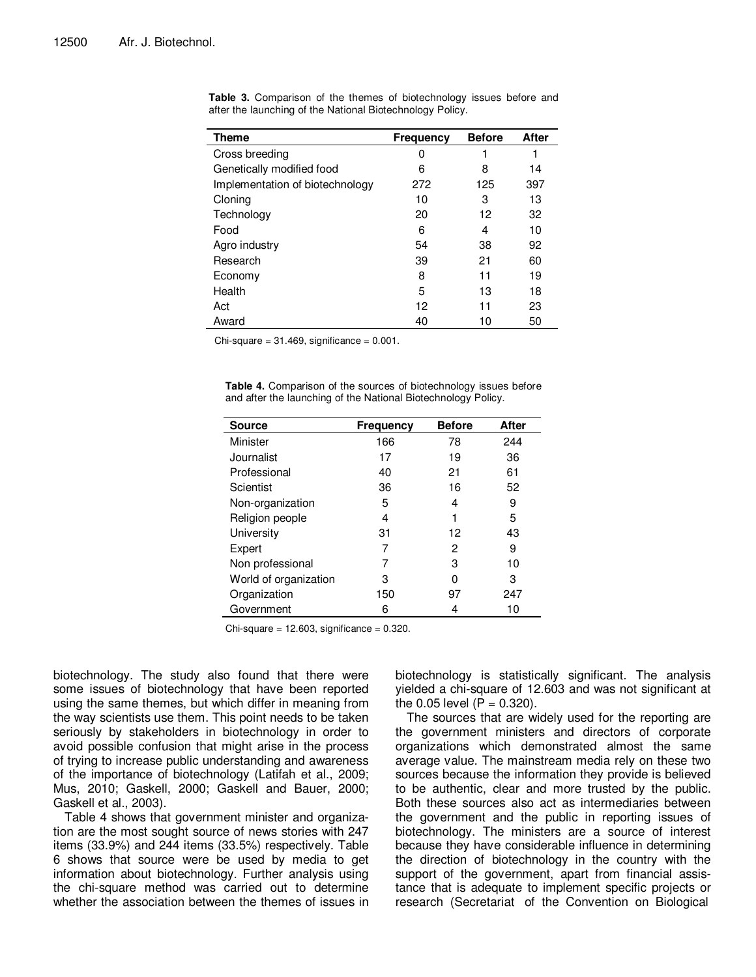| <b>Theme</b>                    | <b>Frequency</b> | <b>Before</b> | After |
|---------------------------------|------------------|---------------|-------|
| Cross breeding                  | 0                |               |       |
| Genetically modified food       | 6                | 8             | 14    |
| Implementation of biotechnology | 272              | 125           | 397   |
| Cloning                         | 10               | 3             | 13    |
| Technology                      | 20               | 12            | 32    |
| Food                            | 6                | 4             | 10    |
| Agro industry                   | 54               | 38            | 92    |
| Research                        | 39               | 21            | 60    |
| Economy                         | 8                | 11            | 19    |
| Health                          | 5                | 13            | 18    |
| Act                             | 12               | 11            | 23    |
| Award                           | 40               | 10            | 50    |

**Table 3.** Comparison of the themes of biotechnology issues before and after the launching of the National Biotechnology Policy.

Chi-square =  $31.469$ , significance =  $0.001$ .

| <b>Table 4.</b> Comparison of the sources of biotechnology issues before |  |
|--------------------------------------------------------------------------|--|
| and after the launching of the National Biotechnology Policy.            |  |

| <b>Source</b>         | Frequency | <b>Before</b> | After |
|-----------------------|-----------|---------------|-------|
| Minister              | 166       | 78            | 244   |
| Journalist            | 17        | 19            | 36    |
| Professional          | 40        | 21            | 61    |
| Scientist             | 36        | 16            | 52    |
| Non-organization      | 5         | 4             | 9     |
| Religion people       | 4         | 1             | 5     |
| University            | 31        | 12            | 43    |
| Expert                | 7         | 2             | 9     |
| Non professional      | 7         | 3             | 10    |
| World of organization | 3         | 0             | 3     |
| Organization          | 150       | 97            | 247   |
| Government            | 6         | 4             | 10    |

 $Chi-square = 12.603$ , significance = 0.320.

biotechnology. The study also found that there were some issues of biotechnology that have been reported using the same themes, but which differ in meaning from the way scientists use them. This point needs to be taken seriously by stakeholders in biotechnology in order to avoid possible confusion that might arise in the process of trying to increase public understanding and awareness of the importance of biotechnology (Latifah et al., 2009; Mus, 2010; Gaskell, 2000; Gaskell and Bauer, 2000; Gaskell et al., 2003).

Table 4 shows that government minister and organization are the most sought source of news stories with 247 items (33.9%) and 244 items (33.5%) respectively. Table 6 shows that source were be used by media to get information about biotechnology. Further analysis using the chi-square method was carried out to determine whether the association between the themes of issues in biotechnology is statistically significant. The analysis yielded a chi-square of 12.603 and was not significant at the 0.05 level  $(P = 0.320)$ .

The sources that are widely used for the reporting are the government ministers and directors of corporate organizations which demonstrated almost the same average value. The mainstream media rely on these two sources because the information they provide is believed to be authentic, clear and more trusted by the public. Both these sources also act as intermediaries between the government and the public in reporting issues of biotechnology. The ministers are a source of interest because they have considerable influence in determining the direction of biotechnology in the country with the support of the government, apart from financial assistance that is adequate to implement specific projects or research (Secretariat of the Convention on Biological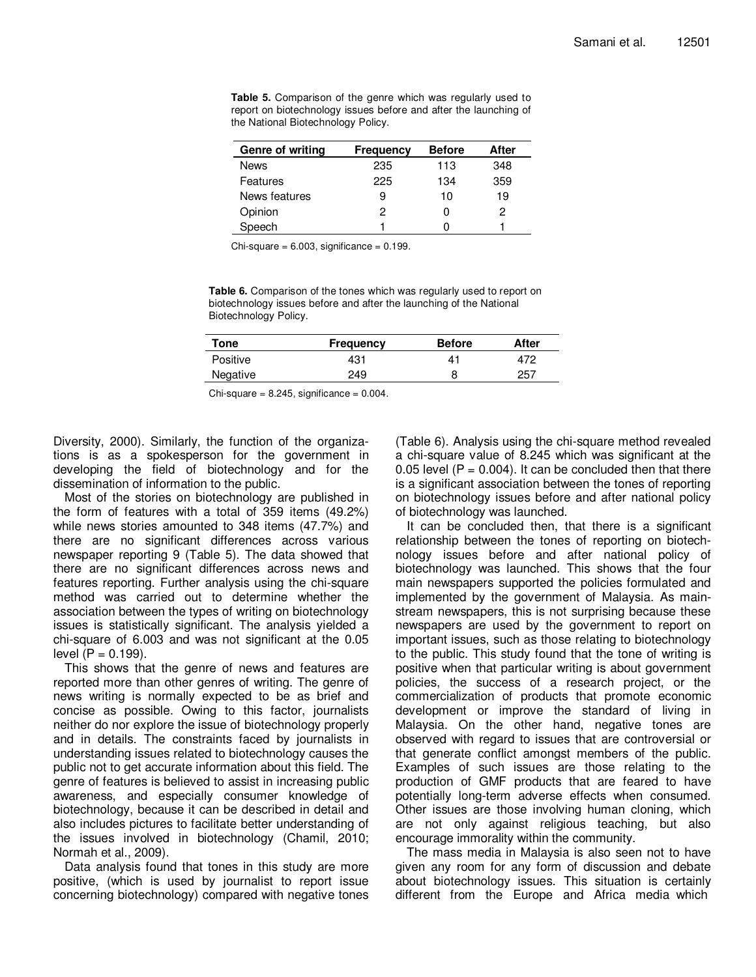**Table 5.** Comparison of the genre which was regularly used to report on biotechnology issues before and after the launching of the National Biotechnology Policy.

| Genre of writing | <b>Frequency</b> | <b>Before</b> | After |
|------------------|------------------|---------------|-------|
| <b>News</b>      | 235              | 113           | 348   |
| Features         | 225              | 134           | 359   |
| News features    | 9                | 10            | 19    |
| Opinion          | 2                |               | 2     |
| Speech           |                  |               |       |

 $Chi-square = 6.003$ , significance = 0.199.

**Table 6.** Comparison of the tones which was regularly used to report on biotechnology issues before and after the launching of the National Biotechnology Policy.

| Tone     | <b>Frequency</b> | <b>Before</b> | After |
|----------|------------------|---------------|-------|
| Positive | 431              | 41            | 472   |
| Negative | 249              |               | 257   |

 $Chi-square = 8.245$ , significance =  $0.004$ .

Diversity, 2000). Similarly, the function of the organizations is as a spokesperson for the government in developing the field of biotechnology and for the dissemination of information to the public.

Most of the stories on biotechnology are published in the form of features with a total of 359 items (49.2%) while news stories amounted to 348 items (47.7%) and there are no significant differences across various newspaper reporting 9 (Table 5). The data showed that there are no significant differences across news and features reporting. Further analysis using the chi-square method was carried out to determine whether the association between the types of writing on biotechnology issues is statistically significant. The analysis yielded a chi-square of 6.003 and was not significant at the 0.05  $level (P = 0.199).$ 

This shows that the genre of news and features are reported more than other genres of writing. The genre of news writing is normally expected to be as brief and concise as possible. Owing to this factor, journalists neither do nor explore the issue of biotechnology properly and in details. The constraints faced by journalists in understanding issues related to biotechnology causes the public not to get accurate information about this field. The genre of features is believed to assist in increasing public awareness, and especially consumer knowledge of biotechnology, because it can be described in detail and also includes pictures to facilitate better understanding of the issues involved in biotechnology (Chamil, 2010; Normah et al., 2009).

Data analysis found that tones in this study are more positive, (which is used by journalist to report issue concerning biotechnology) compared with negative tones (Table 6). Analysis using the chi-square method revealed a chi-square value of 8.245 which was significant at the 0.05 level  $(P = 0.004)$ . It can be concluded then that there is a significant association between the tones of reporting on biotechnology issues before and after national policy of biotechnology was launched.

It can be concluded then, that there is a significant relationship between the tones of reporting on biotechnology issues before and after national policy of biotechnology was launched. This shows that the four main newspapers supported the policies formulated and implemented by the government of Malaysia. As mainstream newspapers, this is not surprising because these newspapers are used by the government to report on important issues, such as those relating to biotechnology to the public. This study found that the tone of writing is positive when that particular writing is about government policies, the success of a research project, or the commercialization of products that promote economic development or improve the standard of living in Malaysia. On the other hand, negative tones are observed with regard to issues that are controversial or that generate conflict amongst members of the public. Examples of such issues are those relating to the production of GMF products that are feared to have potentially long-term adverse effects when consumed. Other issues are those involving human cloning, which are not only against religious teaching, but also encourage immorality within the community.

The mass media in Malaysia is also seen not to have given any room for any form of discussion and debate about biotechnology issues. This situation is certainly different from the Europe and Africa media which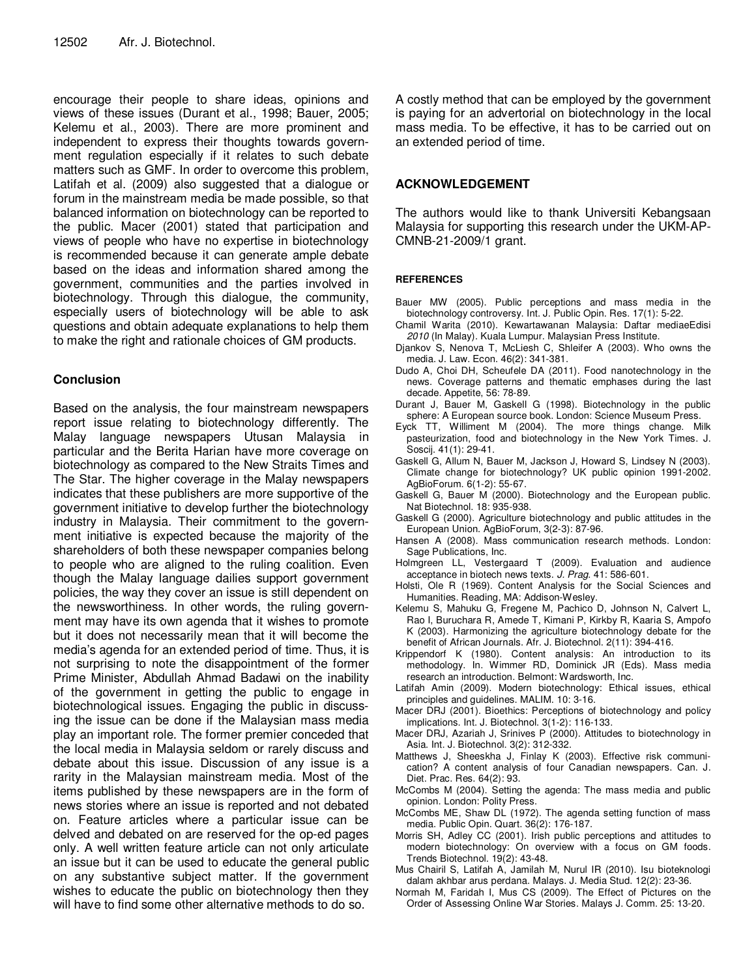encourage their people to share ideas, opinions and views of these issues (Durant et al., 1998; Bauer, 2005; Kelemu et al., 2003). There are more prominent and independent to express their thoughts towards government regulation especially if it relates to such debate matters such as GMF. In order to overcome this problem, Latifah et al. (2009) also suggested that a dialogue or forum in the mainstream media be made possible, so that balanced information on biotechnology can be reported to the public. Macer (2001) stated that participation and views of people who have no expertise in biotechnology is recommended because it can generate ample debate based on the ideas and information shared among the government, communities and the parties involved in biotechnology. Through this dialogue, the community, especially users of biotechnology will be able to ask questions and obtain adequate explanations to help them to make the right and rationale choices of GM products.

### **Conclusion**

Based on the analysis, the four mainstream newspapers report issue relating to biotechnology differently. The Malay language newspapers Utusan Malaysia in particular and the Berita Harian have more coverage on biotechnology as compared to the New Straits Times and The Star. The higher coverage in the Malay newspapers indicates that these publishers are more supportive of the government initiative to develop further the biotechnology industry in Malaysia. Their commitment to the government initiative is expected because the majority of the shareholders of both these newspaper companies belong to people who are aligned to the ruling coalition. Even though the Malay language dailies support government policies, the way they cover an issue is still dependent on the newsworthiness. In other words, the ruling government may have its own agenda that it wishes to promote but it does not necessarily mean that it will become the media's agenda for an extended period of time. Thus, it is not surprising to note the disappointment of the former Prime Minister, Abdullah Ahmad Badawi on the inability of the government in getting the public to engage in biotechnological issues. Engaging the public in discussing the issue can be done if the Malaysian mass media play an important role. The former premier conceded that the local media in Malaysia seldom or rarely discuss and debate about this issue. Discussion of any issue is a rarity in the Malaysian mainstream media. Most of the items published by these newspapers are in the form of news stories where an issue is reported and not debated on. Feature articles where a particular issue can be delved and debated on are reserved for the op-ed pages only. A well written feature article can not only articulate an issue but it can be used to educate the general public on any substantive subject matter. If the government wishes to educate the public on biotechnology then they will have to find some other alternative methods to do so.

A costly method that can be employed by the government is paying for an advertorial on biotechnology in the local mass media. To be effective, it has to be carried out on an extended period of time.

## **ACKNOWLEDGEMENT**

The authors would like to thank Universiti Kebangsaan Malaysia for supporting this research under the UKM-AP-CMNB-21-2009/1 grant.

#### **REFERENCES**

- Bauer MW (2005). Public perceptions and mass media in the biotechnology controversy. Int. J. Public Opin. Res. 17(1): 5-22.
- Chamil Warita (2010). Kewartawanan Malaysia: Daftar mediaeEdisi 2010 (In Malay). Kuala Lumpur. Malaysian Press Institute.
- Djankov S, Nenova T, McLiesh C, Shleifer A (2003). Who owns the media. J. Law. Econ. 46(2): 341-381.
- Dudo A, Choi DH, Scheufele DA (2011). Food nanotechnology in the news. Coverage patterns and thematic emphases during the last decade. Appetite, 56: 78-89.
- Durant J, Bauer M, Gaskell G (1998). Biotechnology in the public sphere: A European source book. London: Science Museum Press.
- Eyck TT, Williment M (2004). The more things change. Milk pasteurization, food and biotechnology in the New York Times. J. Soscij. 41(1): 29-41.
- Gaskell G, Allum N, Bauer M, Jackson J, Howard S, Lindsey N (2003). Climate change for biotechnology? UK public opinion 1991-2002. AgBioForum. 6(1-2): 55-67.
- Gaskell G, Bauer M (2000). Biotechnology and the European public. Nat Biotechnol. 18: 935-938.
- Gaskell G (2000). Agriculture biotechnology and public attitudes in the European Union. AgBioForum, 3(2-3): 87-96.
- Hansen A (2008). Mass communication research methods. London: Sage Publications, Inc.
- Holmgreen LL, Vestergaard T (2009). Evaluation and audience acceptance in biotech news texts. J. Prag. 41: 586-601.
- Holsti, Ole R (1969). Content Analysis for the Social Sciences and Humanities. Reading, MA: Addison-Wesley.
- Kelemu S, Mahuku G, Fregene M, Pachico D, Johnson N, Calvert L, Rao I, Buruchara R, Amede T, Kimani P, Kirkby R, Kaaria S, Ampofo K (2003). Harmonizing the agriculture biotechnology debate for the benefit of African Journals. Afr. J. Biotechnol. 2(11): 394-416.
- Krippendorf K (1980). Content analysis: An introduction to its methodology. In. Wimmer RD, Dominick JR (Eds). Mass media research an introduction. Belmont: Wardsworth, Inc.
- Latifah Amin (2009). Modern biotechnology: Ethical issues, ethical principles and guidelines. MALIM. 10: 3-16.
- Macer DRJ (2001). Bioethics: Perceptions of biotechnology and policy implications. Int. J. Biotechnol. 3(1-2): 116-133.
- Macer DRJ, Azariah J, Srinives P (2000). Attitudes to biotechnology in Asia. Int. J. Biotechnol. 3(2): 312-332.
- Matthews J, Sheeskha J, Finlay K (2003). Effective risk communication? A content analysis of four Canadian newspapers. Can. J. Diet. Prac. Res. 64(2): 93.
- McCombs M (2004). Setting the agenda: The mass media and public opinion. London: Polity Press.
- McCombs ME, Shaw DL (1972). The agenda setting function of mass media. Public Opin. Quart. 36(2): 176-187.
- Morris SH, Adley CC (2001). Irish public perceptions and attitudes to modern biotechnology: On overview with a focus on GM foods. Trends Biotechnol. 19(2): 43-48.
- Mus Chairil S, Latifah A, Jamilah M, Nurul IR (2010). Isu bioteknologi dalam akhbar arus perdana. Malays. J. Media Stud. 12(2): 23-36.
- Normah M, Faridah I, Mus CS (2009). The Effect of Pictures on the Order of Assessing Online War Stories. Malays J. Comm. 25: 13-20.